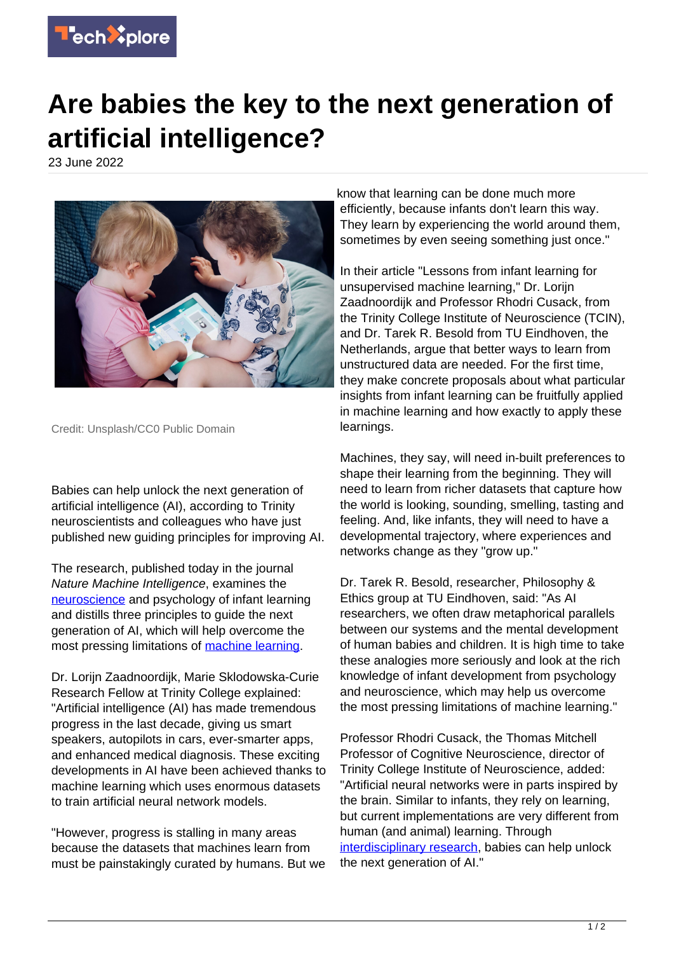

## **Are babies the key to the next generation of artificial intelligence?**

23 June 2022



Credit: Unsplash/CC0 Public Domain

Babies can help unlock the next generation of artificial intelligence (AI), according to Trinity neuroscientists and colleagues who have just published new guiding principles for improving AI.

The research, published today in the journal Nature Machine Intelligence, examines the [neuroscience](https://techxplore.com/tags/neuroscience/) and psychology of infant learning and distills three principles to guide the next generation of AI, which will help overcome the most pressing limitations of [machine learning.](https://techxplore.com/tags/machine+learning/)

Dr. Lorijn Zaadnoordijk, Marie Sklodowska-Curie Research Fellow at Trinity College explained: "Artificial intelligence (AI) has made tremendous progress in the last decade, giving us smart speakers, autopilots in cars, ever-smarter apps, and enhanced medical diagnosis. These exciting developments in AI have been achieved thanks to machine learning which uses enormous datasets to train artificial neural network models.

"However, progress is stalling in many areas because the datasets that machines learn from must be painstakingly curated by humans. But we know that learning can be done much more efficiently, because infants don't learn this way. They learn by experiencing the world around them, sometimes by even seeing something just once."

In their article "Lessons from infant learning for unsupervised machine learning," Dr. Lorijn Zaadnoordijk and Professor Rhodri Cusack, from the Trinity College Institute of Neuroscience (TCIN), and Dr. Tarek R. Besold from TU Eindhoven, the Netherlands, argue that better ways to learn from unstructured data are needed. For the first time, they make concrete proposals about what particular insights from infant learning can be fruitfully applied in machine learning and how exactly to apply these learnings.

Machines, they say, will need in-built preferences to shape their learning from the beginning. They will need to learn from richer datasets that capture how the world is looking, sounding, smelling, tasting and feeling. And, like infants, they will need to have a developmental trajectory, where experiences and networks change as they "grow up."

Dr. Tarek R. Besold, researcher, Philosophy & Ethics group at TU Eindhoven, said: "As AI researchers, we often draw metaphorical parallels between our systems and the mental development of human babies and children. It is high time to take these analogies more seriously and look at the rich knowledge of infant development from psychology and neuroscience, which may help us overcome the most pressing limitations of machine learning."

Professor Rhodri Cusack, the Thomas Mitchell Professor of Cognitive Neuroscience, director of Trinity College Institute of Neuroscience, added: "Artificial neural networks were in parts inspired by the brain. Similar to infants, they rely on learning, but current implementations are very different from human (and animal) learning. Through [interdisciplinary research](https://techxplore.com/tags/interdisciplinary+research/), babies can help unlock the next generation of AI."